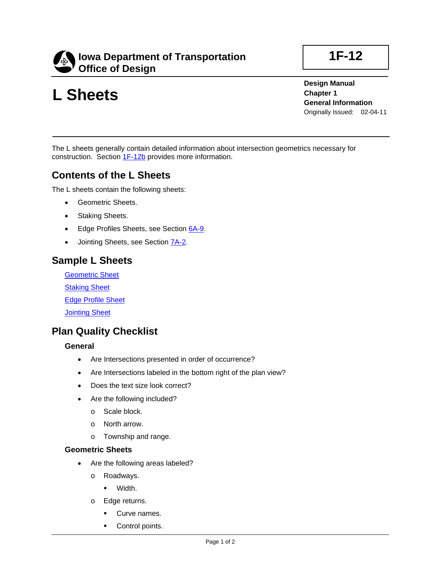

# **L Sheets**

**1F-12**

**Design Manual Chapter 1 General Information** Originally Issued: 02-04-11

The L sheets generally contain detailed information about intersection geometrics necessary for construction. Section 1F-12b provides more information.

## **Contents of the L Sheets**

The L sheets contain the following sheets:

- Geometric Sheets.
- Staking Sheets.
- Edge Profiles Sheets, see Section 6A-9.
- Jointing Sheets, see Section **7A-2**.

## **Sample L Sheets**

Geometric Sheet **Staking Sheet** Edge Profile Sheet **Jointing Sheet** 

### **Plan Quality Checklist**

#### **General**

- Are Intersections presented in order of occurrence?
- Are Intersections labeled in the bottom right of the plan view?
- Does the text size look correct?
- Are the following included?
	- o Scale block.
	- o North arrow.
	- o Township and range.

#### **Geometric Sheets**

- Are the following areas labeled?
	- o Roadways.
		- **•** Width.
	- o Edge returns.
		- Curve names.
		- **Control points.**